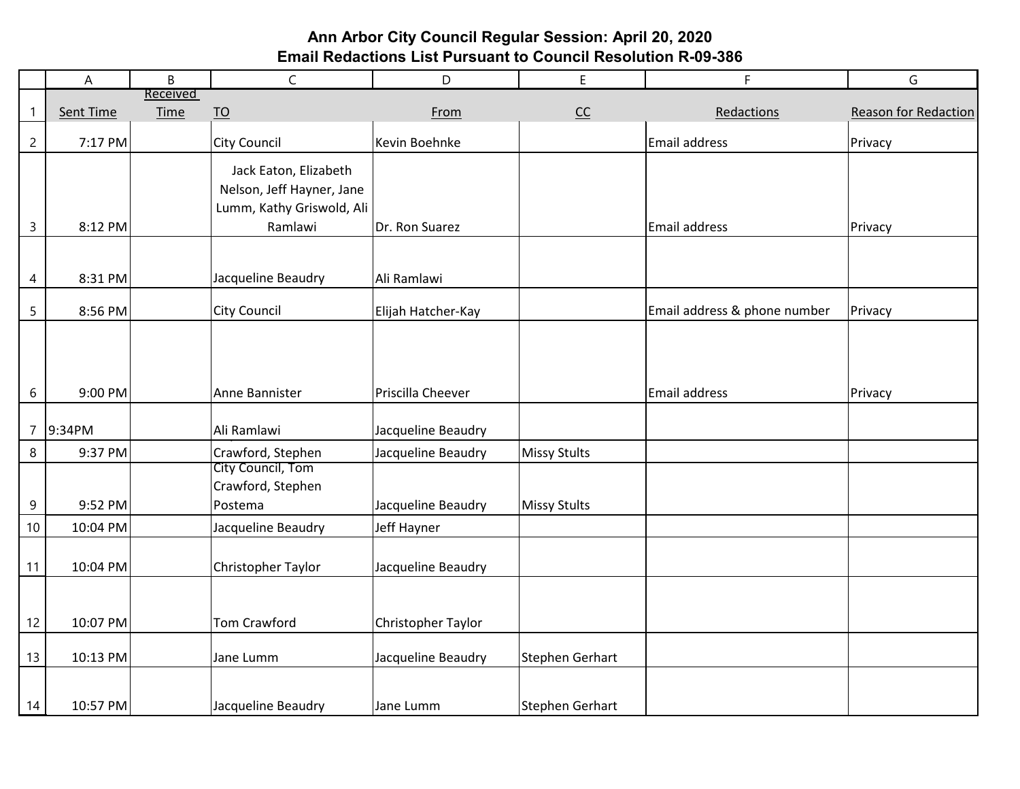# **Ann Arbor City Council Regular Session: April 20, 2020 Email Redactions List Pursuant to Council Resolution R-09-386**

|                | A         | B                       | $\mathsf{C}$              | D                  | E               | F.                           | ${\mathsf G}$        |
|----------------|-----------|-------------------------|---------------------------|--------------------|-----------------|------------------------------|----------------------|
| $\mathbf{1}$   | Sent Time | Received<br><b>Time</b> |                           | From               |                 | Redactions                   | Reason for Redaction |
|                |           |                         | $\underline{TO}$          |                    | $CC$            |                              |                      |
| $\overline{c}$ | 7:17 PM   |                         | <b>City Council</b>       | Kevin Boehnke      |                 | Email address                | Privacy              |
|                |           |                         | Jack Eaton, Elizabeth     |                    |                 |                              |                      |
|                |           |                         | Nelson, Jeff Hayner, Jane |                    |                 |                              |                      |
|                |           |                         | Lumm, Kathy Griswold, Ali |                    |                 |                              |                      |
| $\overline{3}$ | 8:12 PM   |                         | Ramlawi                   | Dr. Ron Suarez     |                 | Email address                | Privacy              |
|                |           |                         |                           |                    |                 |                              |                      |
| 4              | 8:31 PM   |                         | Jacqueline Beaudry        | Ali Ramlawi        |                 |                              |                      |
| 5              | 8:56 PM   |                         | City Council              | Elijah Hatcher-Kay |                 | Email address & phone number | Privacy              |
| 6              | 9:00 PM   |                         | Anne Bannister            | Priscilla Cheever  |                 | <b>Email address</b>         | Privacy              |
| $\overline{7}$ | 9:34PM    |                         | Ali Ramlawi               | Jacqueline Beaudry |                 |                              |                      |
| 8              | 9:37 PM   |                         | Crawford, Stephen         | Jacqueline Beaudry | Missy Stults    |                              |                      |
|                |           |                         | City Council, Tom         |                    |                 |                              |                      |
|                |           |                         | Crawford, Stephen         |                    |                 |                              |                      |
| 9              | 9:52 PM   |                         | Postema                   | Jacqueline Beaudry | Missy Stults    |                              |                      |
| 10             | 10:04 PM  |                         | Jacqueline Beaudry        | Jeff Hayner        |                 |                              |                      |
| 11             | 10:04 PM  |                         | Christopher Taylor        | Jacqueline Beaudry |                 |                              |                      |
|                |           |                         |                           |                    |                 |                              |                      |
| 12             | 10:07 PM  |                         | Tom Crawford              | Christopher Taylor |                 |                              |                      |
| 13             | 10:13 PM  |                         | Jane Lumm                 | Jacqueline Beaudry | Stephen Gerhart |                              |                      |
| 14             | 10:57 PM  |                         | Jacqueline Beaudry        | Jane Lumm          | Stephen Gerhart |                              |                      |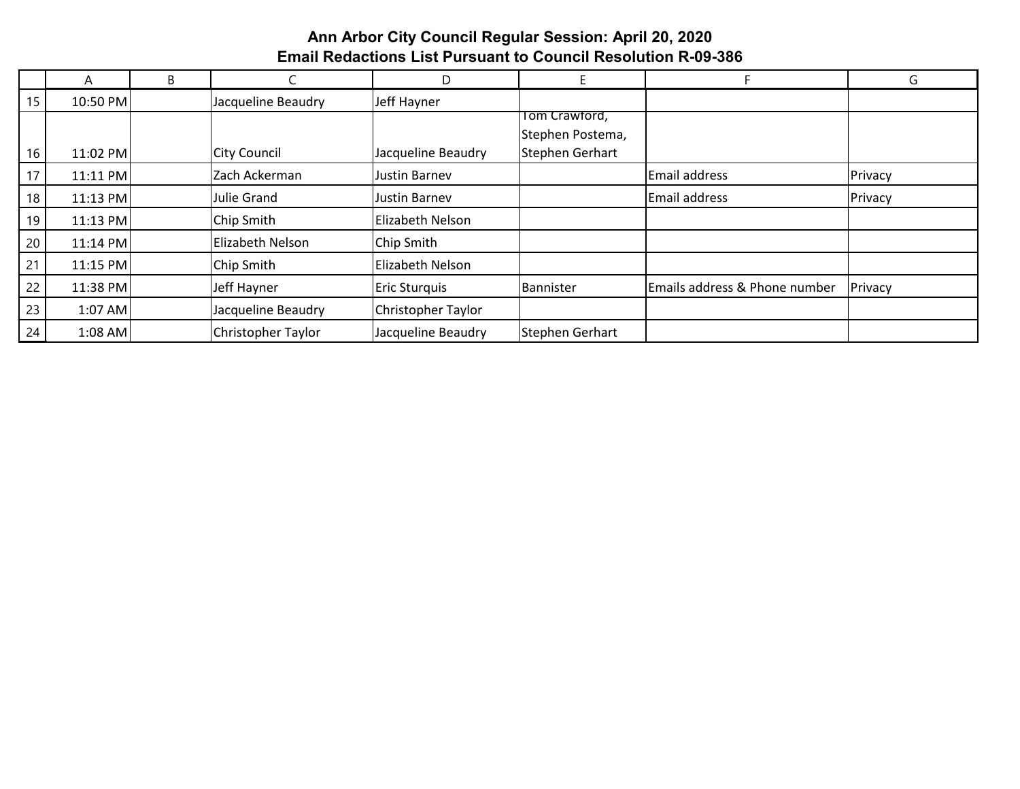# **Ann Arbor City Council Regular Session: April 20, 2020 Email Redactions List Pursuant to Council Resolution R-09-386**

|    | A          | B |                     | D                  |                  |                               | G       |
|----|------------|---|---------------------|--------------------|------------------|-------------------------------|---------|
| 15 | 10:50 PM   |   | Jacqueline Beaudry  | Jeff Hayner        |                  |                               |         |
|    |            |   |                     |                    | Tom Crawford,    |                               |         |
|    |            |   |                     |                    | Stephen Postema, |                               |         |
| 16 | 11:02 PM   |   | <b>City Council</b> | Jacqueline Beaudry | Stephen Gerhart  |                               |         |
| 17 | $11:11$ PM |   | Zach Ackerman       | Justin Barnev      |                  | Email address                 | Privacy |
| 18 | $11:13$ PM |   | Julie Grand         | Justin Barnev      |                  | Email address                 | Privacy |
| 19 | $11:13$ PM |   | Chip Smith          | Elizabeth Nelson   |                  |                               |         |
| 20 | $11:14$ PM |   | Elizabeth Nelson    | Chip Smith         |                  |                               |         |
| 21 | $11:15$ PM |   | Chip Smith          | Elizabeth Nelson   |                  |                               |         |
| 22 | 11:38 PM   |   | Jeff Hayner         | Eric Sturquis      | Bannister        | Emails address & Phone number | Privacy |
| 23 | $1:07$ AM  |   | Jacqueline Beaudry  | Christopher Taylor |                  |                               |         |
| 24 | $1:08$ AM  |   | Christopher Taylor  | Jacqueline Beaudry | Stephen Gerhart  |                               |         |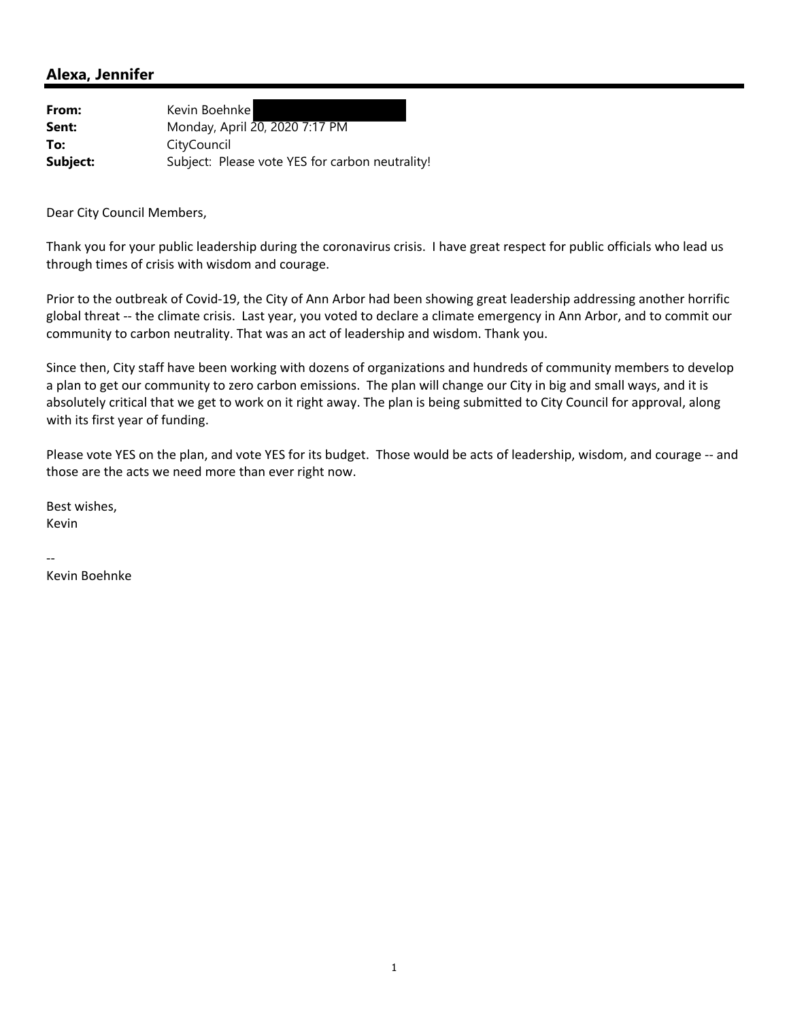| From:    | Kevin Boehnkel                                  |
|----------|-------------------------------------------------|
| Sent:    | Monday, April 20, 2020 7:17 PM                  |
| To:      | CityCouncil                                     |
| Subject: | Subject: Please vote YES for carbon neutrality! |

Dear City Council Members,

Thank you for your public leadership during the coronavirus crisis. I have great respect for public officials who lead us through times of crisis with wisdom and courage.

Prior to the outbreak of Covid‐19, the City of Ann Arbor had been showing great leadership addressing another horrific global threat ‐‐ the climate crisis. Last year, you voted to declare a climate emergency in Ann Arbor, and to commit our community to carbon neutrality. That was an act of leadership and wisdom. Thank you.

Since then, City staff have been working with dozens of organizations and hundreds of community members to develop a plan to get our community to zero carbon emissions. The plan will change our City in big and small ways, and it is absolutely critical that we get to work on it right away. The plan is being submitted to City Council for approval, along with its first year of funding.

Please vote YES on the plan, and vote YES for its budget. Those would be acts of leadership, wisdom, and courage ‐‐ and those are the acts we need more than ever right now.

Best wishes, Kevin

‐‐

Kevin Boehnke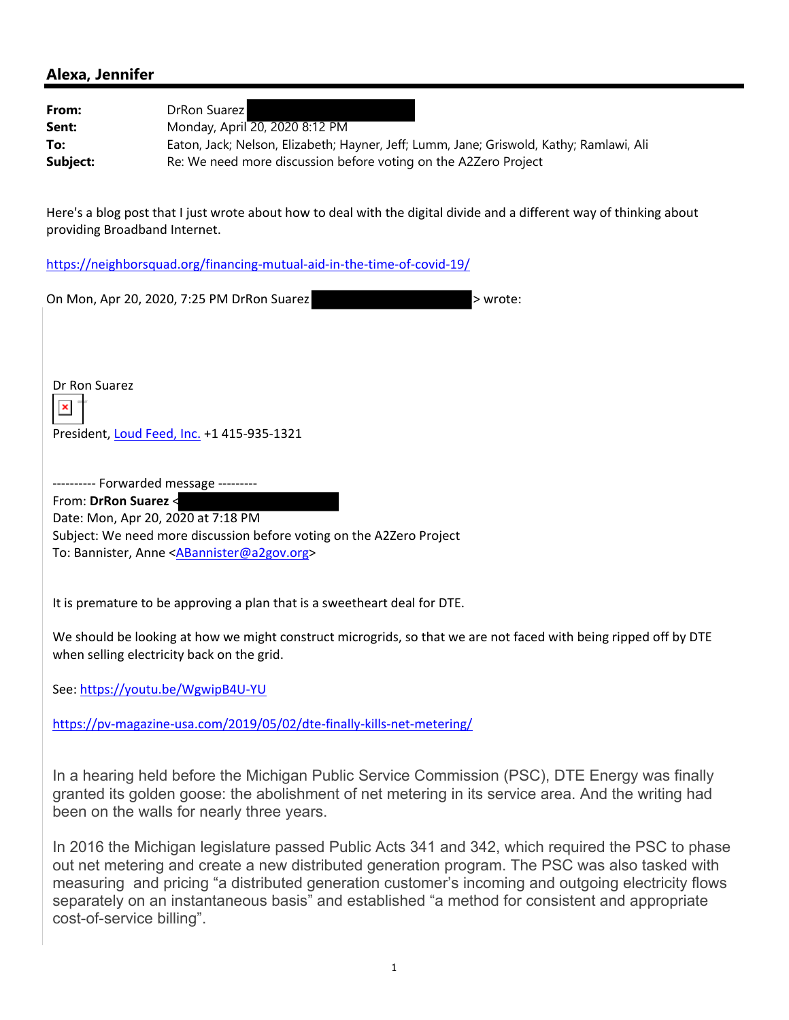From: DrRon Suarez **Sent:** Monday, April 20, 2020 8:12 PM **To:** Eaton, Jack; Nelson, Elizabeth; Hayner, Jeff; Lumm, Jane; Griswold, Kathy; Ramlawi, Ali **Subject:** Re: We need more discussion before voting on the A2Zero Project

Here's a blog post that I just wrote about how to deal with the digital divide and a different way of thinking about providing Broadband Internet.

https://neighborsquad.org/financing‐mutual‐aid‐in‐the‐time‐of‐covid‐19/

| On Mon, Apr 20, 2020, 7:25 PM DrRon Suarez<br>> wrote:                                                                                                                                             |  |
|----------------------------------------------------------------------------------------------------------------------------------------------------------------------------------------------------|--|
|                                                                                                                                                                                                    |  |
|                                                                                                                                                                                                    |  |
|                                                                                                                                                                                                    |  |
| Dr Ron Suarez                                                                                                                                                                                      |  |
| $\pmb{\times}$                                                                                                                                                                                     |  |
| President, Loud Feed, Inc. +1 415-935-1321                                                                                                                                                         |  |
|                                                                                                                                                                                                    |  |
| --------- Forwarded message ---------<br>From: DrRon Suarez <                                                                                                                                      |  |
| Date: Mon, Apr 20, 2020 at 7:18 PM                                                                                                                                                                 |  |
| Subject: We need more discussion before voting on the A2Zero Project<br>To: Bannister, Anne <abannister@a2gov.org></abannister@a2gov.org>                                                          |  |
|                                                                                                                                                                                                    |  |
| It is premature to be approving a plan that is a sweetheart deal for DTE.                                                                                                                          |  |
| We should be looking at how we might construct microgrids, so that we are not faced with being ripped off by DTE                                                                                   |  |
| when selling electricity back on the grid.                                                                                                                                                         |  |
| See: https://youtu.be/WgwipB4U-YU                                                                                                                                                                  |  |
| https://pv-magazine-usa.com/2019/05/02/dte-finally-kills-net-metering/                                                                                                                             |  |
|                                                                                                                                                                                                    |  |
| In a hearing held before the Michigan Public Service Commission (PSC), DTE Energy was finally                                                                                                      |  |
| granted its golden goose: the abolishment of net metering in its service area. And the writing had<br>been on the walls for nearly three years.                                                    |  |
|                                                                                                                                                                                                    |  |
| In 2016 the Michigan legislature passed Public Acts 341 and 342, which required the PSC to phase<br>out net metering and create a new distributed generation program. The PSC was also tasked with |  |
| measuring and pricing "a distributed generation customer's incoming and outgoing electricity flows                                                                                                 |  |
| separately on an instantaneous basis" and established "a method for consistent and appropriate<br>cost-of-service billing".                                                                        |  |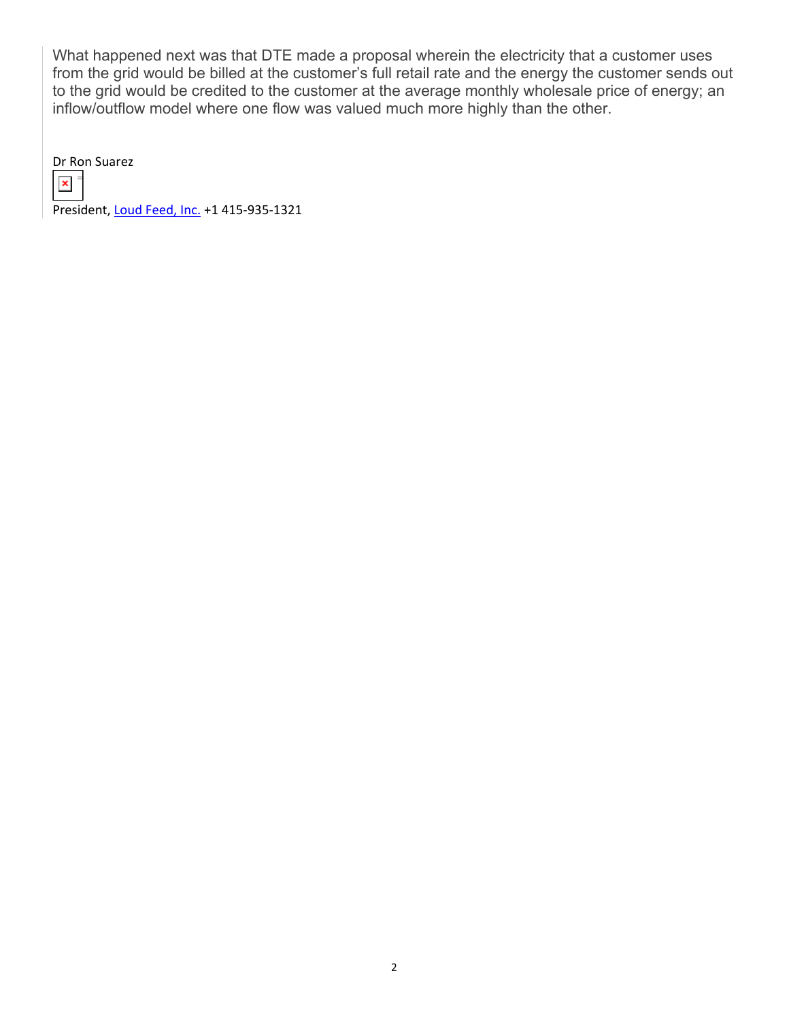What happened next was that DTE made a proposal wherein the electricity that a customer uses from the grid would be billed at the customer's full retail rate and the energy the customer sends out to the grid would be credited to the customer at the average monthly wholesale price of energy; an inflow/outflow model where one flow was valued much more highly than the other.

Dr Ron Suarez



President, Loud Feed, Inc. +1 415‐935‐1321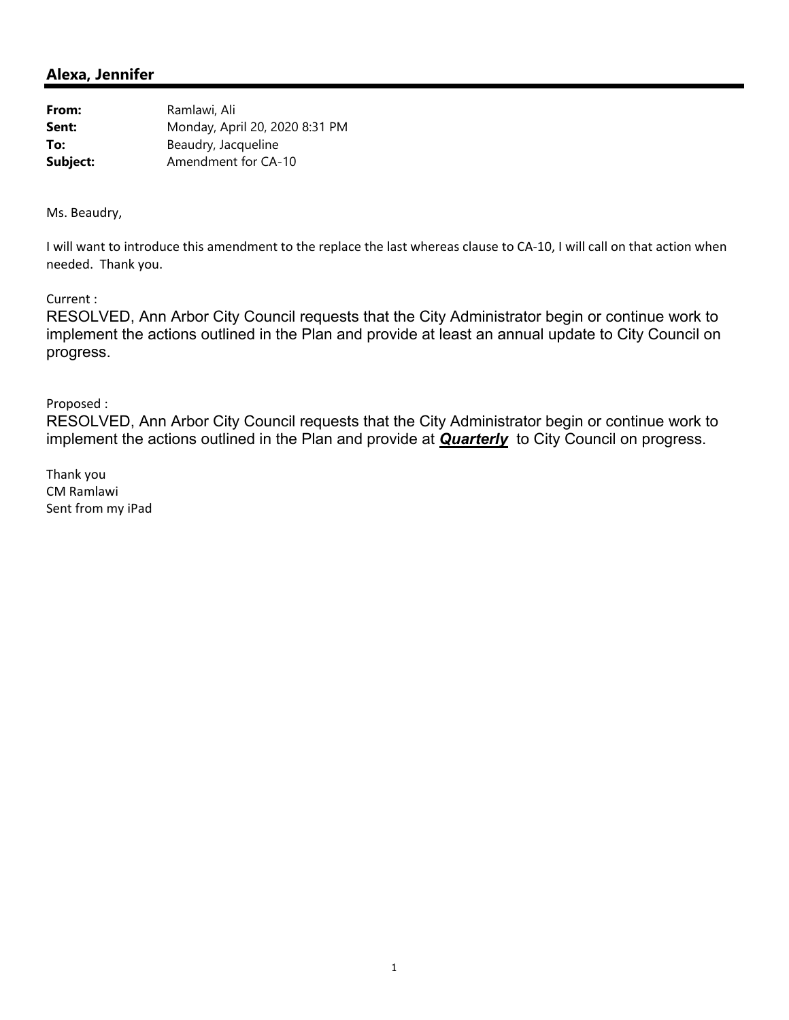| From:    | Ramlawi, Ali                   |
|----------|--------------------------------|
| Sent:    | Monday, April 20, 2020 8:31 PM |
| To:      | Beaudry, Jacqueline            |
| Subject: | Amendment for CA-10            |

Ms. Beaudry,

I will want to introduce this amendment to the replace the last whereas clause to CA‐10, I will call on that action when needed. Thank you.

Current :

RESOLVED, Ann Arbor City Council requests that the City Administrator begin or continue work to implement the actions outlined in the Plan and provide at least an annual update to City Council on progress.

Proposed :

RESOLVED, Ann Arbor City Council requests that the City Administrator begin or continue work to implement the actions outlined in the Plan and provide at *Quarterly* to City Council on progress.

Thank you CM Ramlawi Sent from my iPad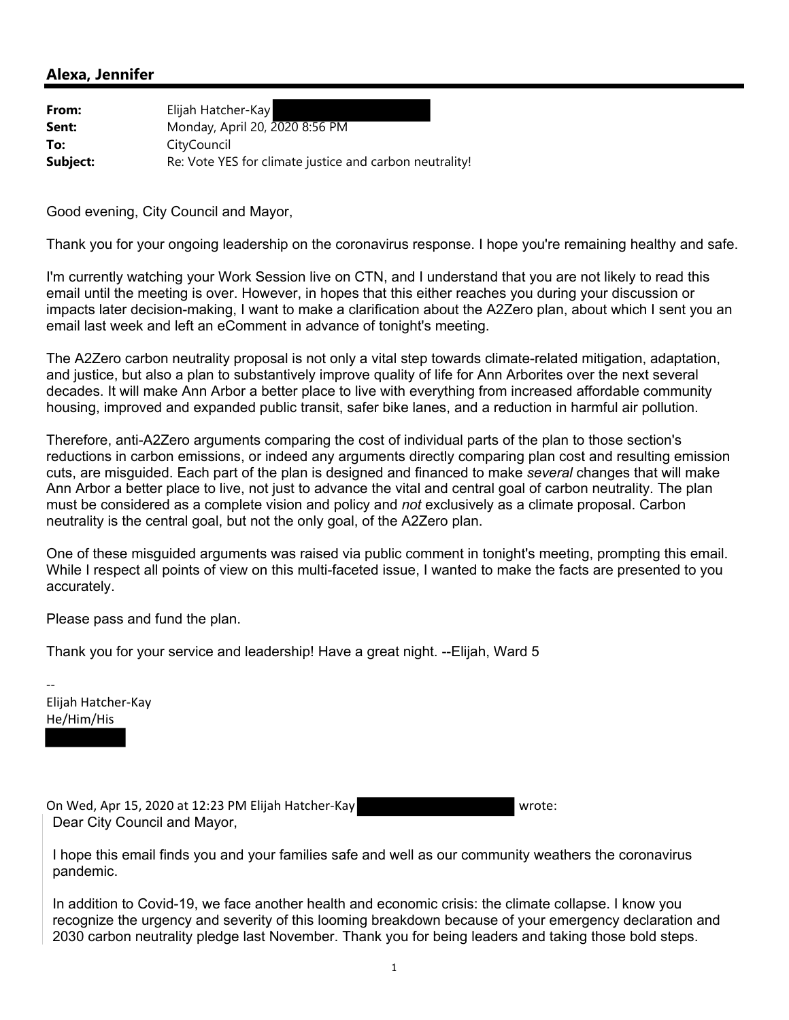| From:    | Elijah Hatcher-Kay                                      |
|----------|---------------------------------------------------------|
| Sent:    | Monday, April 20, 2020 8:56 PM                          |
| To:      | CityCouncil                                             |
| Subject: | Re: Vote YES for climate justice and carbon neutrality! |

Good evening, City Council and Mayor,

Thank you for your ongoing leadership on the coronavirus response. I hope you're remaining healthy and safe.

I'm currently watching your Work Session live on CTN, and I understand that you are not likely to read this email until the meeting is over. However, in hopes that this either reaches you during your discussion or impacts later decision-making, I want to make a clarification about the A2Zero plan, about which I sent you an email last week and left an eComment in advance of tonight's meeting.

The A2Zero carbon neutrality proposal is not only a vital step towards climate-related mitigation, adaptation, and justice, but also a plan to substantively improve quality of life for Ann Arborites over the next several decades. It will make Ann Arbor a better place to live with everything from increased affordable community housing, improved and expanded public transit, safer bike lanes, and a reduction in harmful air pollution.

Therefore, anti-A2Zero arguments comparing the cost of individual parts of the plan to those section's reductions in carbon emissions, or indeed any arguments directly comparing plan cost and resulting emission cuts, are misguided. Each part of the plan is designed and financed to make *several* changes that will make Ann Arbor a better place to live, not just to advance the vital and central goal of carbon neutrality. The plan must be considered as a complete vision and policy and *not* exclusively as a climate proposal. Carbon neutrality is the central goal, but not the only goal, of the A2Zero plan.

One of these misguided arguments was raised via public comment in tonight's meeting, prompting this email. While I respect all points of view on this multi-faceted issue, I wanted to make the facts are presented to you accurately.

Please pass and fund the plan.

Thank you for your service and leadership! Have a great night. --Elijah, Ward 5

‐‐ Elijah Hatcher‐Kay He/Him/His

On Wed, Apr 15, 2020 at 12:23 PM Elijah Hatcher-Kay Wrote: Dear City Council and Mayor,

I hope this email finds you and your families safe and well as our community weathers the coronavirus pandemic.

In addition to Covid-19, we face another health and economic crisis: the climate collapse. I know you recognize the urgency and severity of this looming breakdown because of your emergency declaration and 2030 carbon neutrality pledge last November. Thank you for being leaders and taking those bold steps.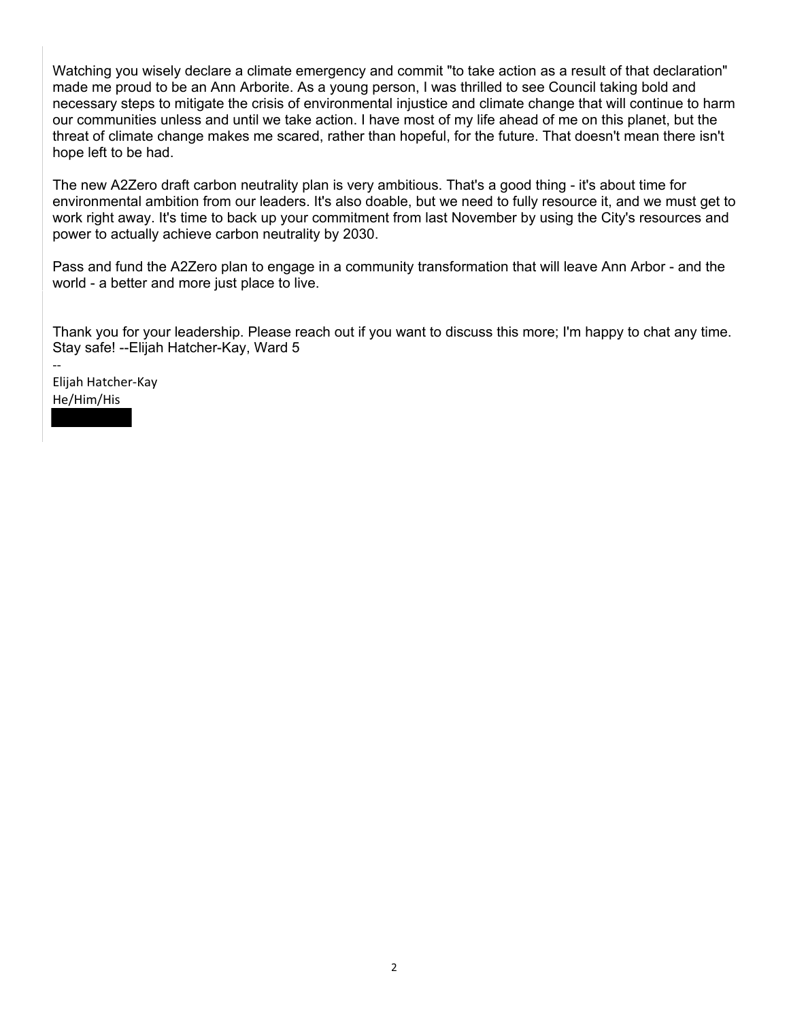Watching you wisely declare a climate emergency and commit "to take action as a result of that declaration" made me proud to be an Ann Arborite. As a young person, I was thrilled to see Council taking bold and necessary steps to mitigate the crisis of environmental injustice and climate change that will continue to harm our communities unless and until we take action. I have most of my life ahead of me on this planet, but the threat of climate change makes me scared, rather than hopeful, for the future. That doesn't mean there isn't hope left to be had.

The new A2Zero draft carbon neutrality plan is very ambitious. That's a good thing - it's about time for environmental ambition from our leaders. It's also doable, but we need to fully resource it, and we must get to work right away. It's time to back up your commitment from last November by using the City's resources and power to actually achieve carbon neutrality by 2030.

Pass and fund the A2Zero plan to engage in a community transformation that will leave Ann Arbor - and the world - a better and more just place to live.

Thank you for your leadership. Please reach out if you want to discuss this more; I'm happy to chat any time. Stay safe! --Elijah Hatcher-Kay, Ward 5

Elijah Hatcher‐Kay He/Him/His

‐‐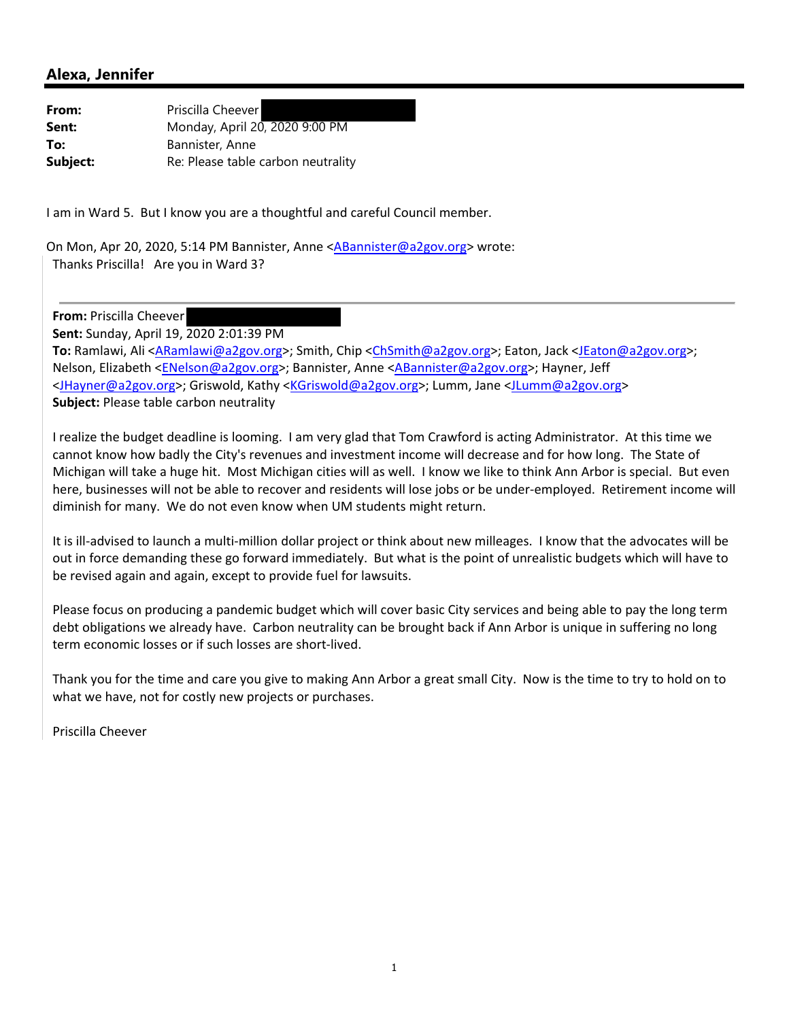| From:    | Priscilla Cheever                  |
|----------|------------------------------------|
| Sent:    | Monday, April 20, 2020 9:00 PM     |
| To:      | Bannister, Anne                    |
| Subject: | Re: Please table carbon neutrality |

I am in Ward 5. But I know you are a thoughtful and careful Council member.

On Mon, Apr 20, 2020, 5:14 PM Bannister, Anne <ABannister@a2gov.org> wrote: Thanks Priscilla! Are you in Ward 3?

**From:** Priscilla Cheever

**Sent:** Sunday, April 19, 2020 2:01:39 PM

**To:** Ramlawi, Ali <ARamlawi@a2gov.org>; Smith, Chip <ChSmith@a2gov.org>; Eaton, Jack <JEaton@a2gov.org>; Nelson, Elizabeth <ENelson@a2gov.org>; Bannister, Anne <ABannister@a2gov.org>; Hayner, Jeff <JHayner@a2gov.org>; Griswold, Kathy <KGriswold@a2gov.org>; Lumm, Jane <JLumm@a2gov.org> **Subject:** Please table carbon neutrality

I realize the budget deadline is looming. I am very glad that Tom Crawford is acting Administrator. At this time we cannot know how badly the City's revenues and investment income will decrease and for how long. The State of Michigan will take a huge hit. Most Michigan cities will as well. I know we like to think Ann Arbor is special. But even here, businesses will not be able to recover and residents will lose jobs or be under-employed. Retirement income will diminish for many. We do not even know when UM students might return.

It is ill‐advised to launch a multi‐million dollar project or think about new milleages. I know that the advocates will be out in force demanding these go forward immediately. But what is the point of unrealistic budgets which will have to be revised again and again, except to provide fuel for lawsuits.

Please focus on producing a pandemic budget which will cover basic City services and being able to pay the long term debt obligations we already have. Carbon neutrality can be brought back if Ann Arbor is unique in suffering no long term economic losses or if such losses are short‐lived.

Thank you for the time and care you give to making Ann Arbor a great small City. Now is the time to try to hold on to what we have, not for costly new projects or purchases.

Priscilla Cheever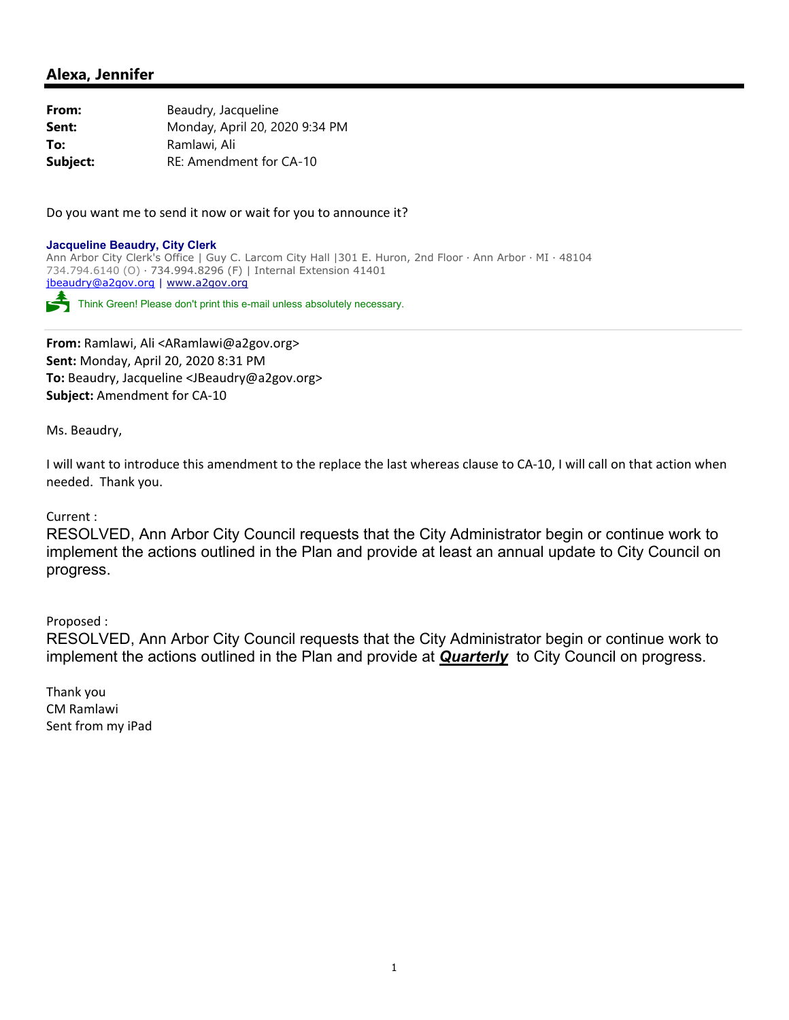**From:** Beaudry, Jacqueline **Sent:** Monday, April 20, 2020 9:34 PM **To:** Ramlawi, Ali **Subject:** RE: Amendment for CA-10

Do you want me to send it now or wait for you to announce it?

**Jacqueline Beaudry, City Clerk**  Ann Arbor City Clerk's Office | Guy C. Larcom City Hall |301 E. Huron, 2nd Floor ∙ Ann Arbor ∙ MI ∙ 48104 734.794.6140 (O) ∙ 734.994.8296 (F) | Internal Extension 41401 jbeaudry@a2gov.org | www.a2gov.org

Think Green! Please don't print this e-mail unless absolutely necessary.

**From:** Ramlawi, Ali <ARamlawi@a2gov.org> **Sent:** Monday, April 20, 2020 8:31 PM **To:** Beaudry, Jacqueline <JBeaudry@a2gov.org> **Subject:** Amendment for CA‐10

Ms. Beaudry,

I will want to introduce this amendment to the replace the last whereas clause to CA‐10, I will call on that action when needed. Thank you.

Current :

RESOLVED, Ann Arbor City Council requests that the City Administrator begin or continue work to implement the actions outlined in the Plan and provide at least an annual update to City Council on progress.

Proposed :

RESOLVED, Ann Arbor City Council requests that the City Administrator begin or continue work to implement the actions outlined in the Plan and provide at *Quarterly* to City Council on progress.

Thank you CM Ramlawi Sent from my iPad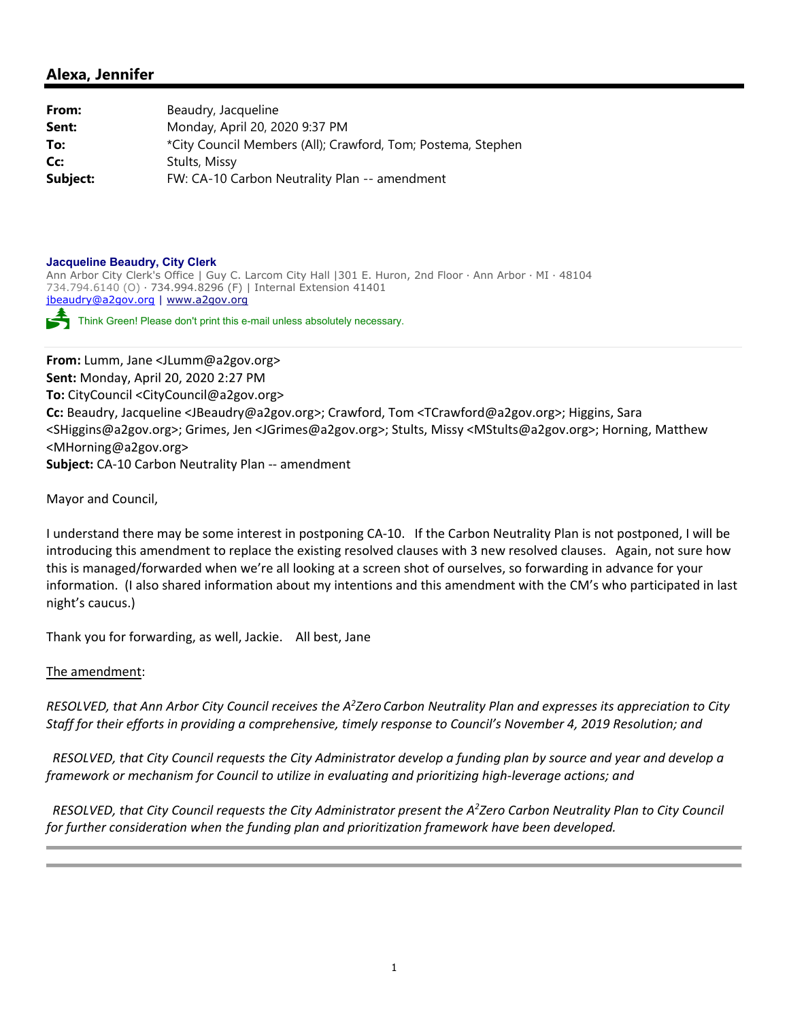| From:    | Beaudry, Jacqueline                                          |
|----------|--------------------------------------------------------------|
| Sent:    | Monday, April 20, 2020 9:37 PM                               |
| To:      | *City Council Members (All); Crawford, Tom; Postema, Stephen |
| Cc:      | Stults, Missy                                                |
| Subject: | FW: CA-10 Carbon Neutrality Plan -- amendment                |

#### **Jacqueline Beaudry, City Clerk**

Ann Arbor City Clerk's Office | Guy C. Larcom City Hall |301 E. Huron, 2nd Floor ∙ Ann Arbor ∙ MI ∙ 48104 734.794.6140 (O) ∙ 734.994.8296 (F) | Internal Extension 41401 jbeaudry@a2gov.org | www.a2gov.org

Think Green! Please don't print this e-mail unless absolutely necessary.

**From:** Lumm, Jane <JLumm@a2gov.org> **Sent:** Monday, April 20, 2020 2:27 PM **To:** CityCouncil <CityCouncil@a2gov.org> **Cc:** Beaudry, Jacqueline <JBeaudry@a2gov.org>; Crawford, Tom <TCrawford@a2gov.org>; Higgins, Sara <SHiggins@a2gov.org>; Grimes, Jen <JGrimes@a2gov.org>; Stults, Missy <MStults@a2gov.org>; Horning, Matthew <MHorning@a2gov.org> **Subject:** CA‐10 Carbon Neutrality Plan ‐‐ amendment

Mayor and Council,

I understand there may be some interest in postponing CA‐10. If the Carbon Neutrality Plan is not postponed, I will be introducing this amendment to replace the existing resolved clauses with 3 new resolved clauses. Again, not sure how this is managed/forwarded when we're all looking at a screen shot of ourselves, so forwarding in advance for your information. (I also shared information about my intentions and this amendment with the CM's who participated in last night's caucus.)

Thank you for forwarding, as well, Jackie. All best, Jane

The amendment:

RESOLVED, that Ann Arbor City Council receives the A<sup>2</sup>Zero Carbon Neutrality Plan and expresses its appreciation to City Staff for their efforts in providing a comprehensive, timely response to Council's November 4, 2019 Resolution; and

RESOLVED, that City Council requests the City Administrator develop a funding plan by source and year and develop a *framework or mechanism for Council to utilize in evaluating and prioritizing high‐leverage actions; and*

RESOLVED, that City Council requests the City Administrator present the A<sup>2</sup>Zero Carbon Neutrality Plan to City Council *for further consideration when the funding plan and prioritization framework have been developed.*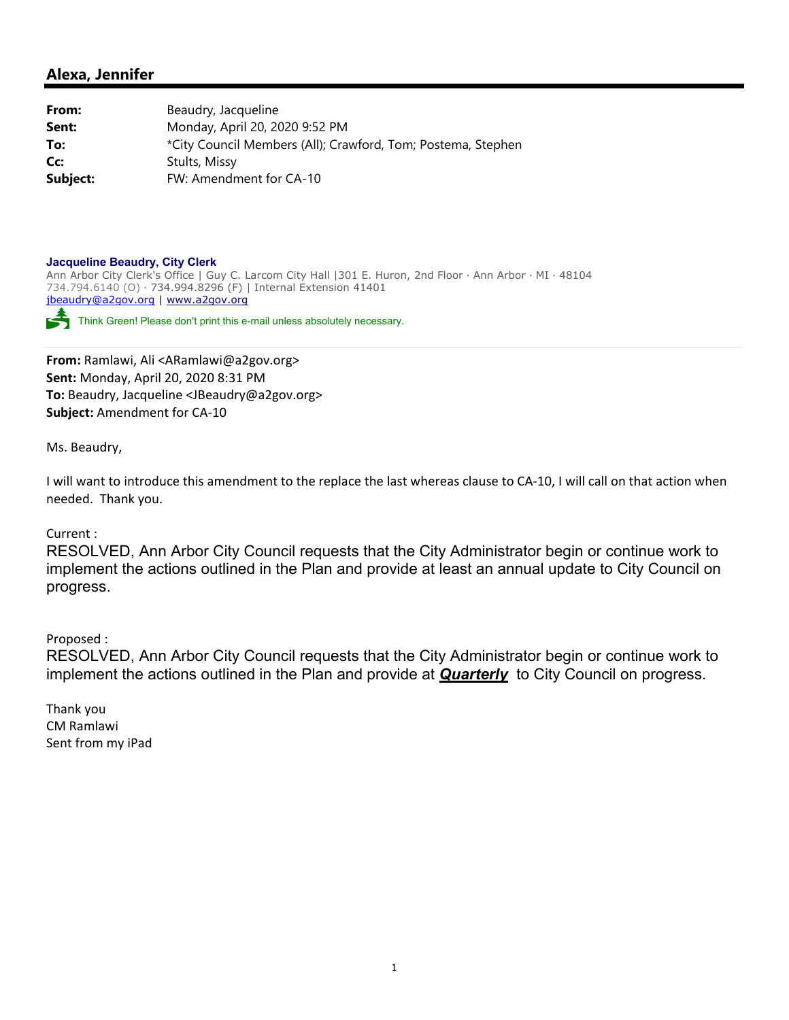**From:** Beaudry, Jacqueline **Sent:** Monday, April 20, 2020 9:52 PM **To:** \* \* \* \* City Council Members (All); Crawford, Tom; Postema, Stephen **Cc:** Stults, Missy **Subject:** FW: Amendment for CA-10

#### **Jacqueline Beaudry, City Clerk**

Ann Arbor City Clerk's Office | Guy C. Larcom City Hall |301 E. Huron, 2nd Floor ∙ Ann Arbor ∙ MI ∙ 48104 734.794.6140 (O) ∙ 734.994.8296 (F) | Internal Extension 41401 jbeaudry@a2gov.org | www.a2gov.org

Think Green! Please don't print this e-mail unless absolutely necessary.

**From:** Ramlawi, Ali <ARamlawi@a2gov.org> **Sent:** Monday, April 20, 2020 8:31 PM **To:** Beaudry, Jacqueline <JBeaudry@a2gov.org> **Subject:** Amendment for CA‐10

Ms. Beaudry,

I will want to introduce this amendment to the replace the last whereas clause to CA‐10, I will call on that action when needed. Thank you.

#### Current :

RESOLVED, Ann Arbor City Council requests that the City Administrator begin or continue work to implement the actions outlined in the Plan and provide at least an annual update to City Council on progress.

Proposed :

RESOLVED, Ann Arbor City Council requests that the City Administrator begin or continue work to implement the actions outlined in the Plan and provide at *Quarterly* to City Council on progress.

Thank you CM Ramlawi Sent from my iPad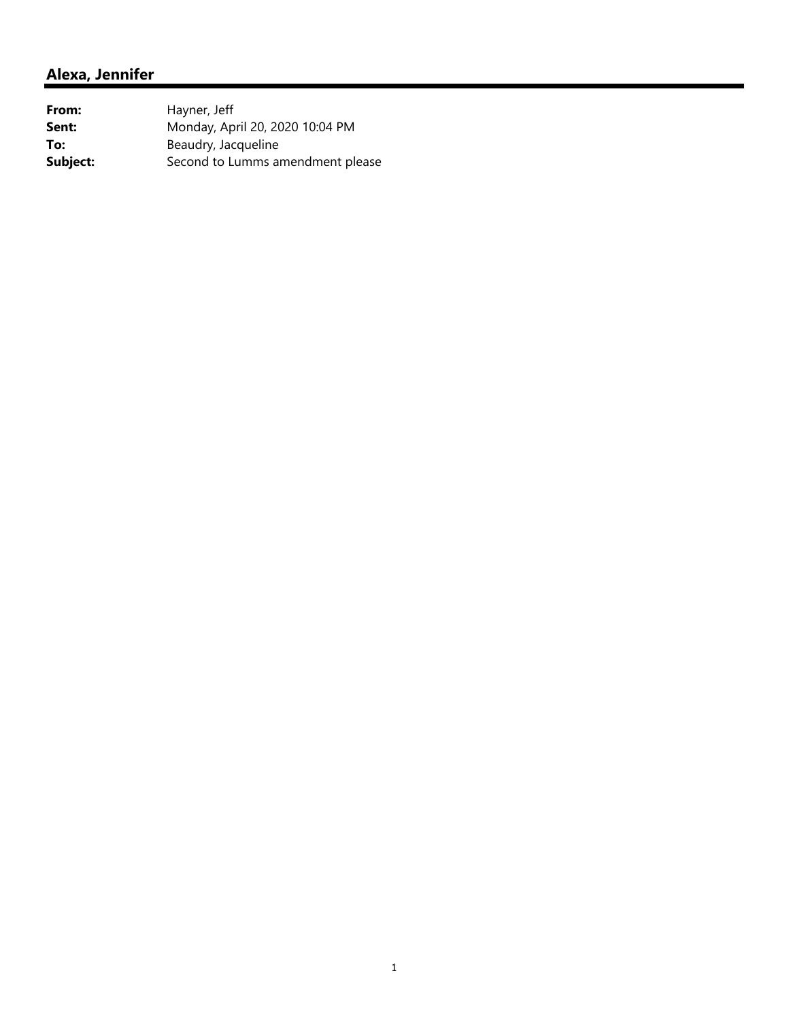| From:    | Hayner, Jeff                     |
|----------|----------------------------------|
| Sent:    | Monday, April 20, 2020 10:04 PM  |
| To:      | Beaudry, Jacqueline              |
| Subject: | Second to Lumms amendment please |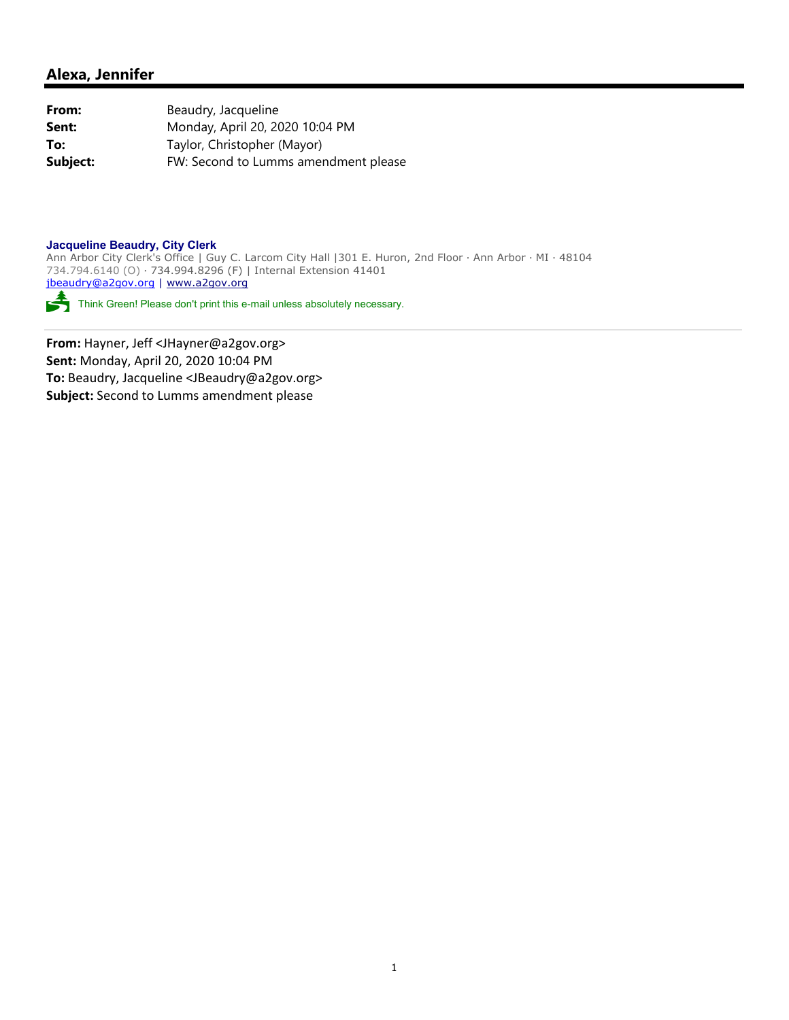| From:    | Beaudry, Jacqueline                  |
|----------|--------------------------------------|
| Sent:    | Monday, April 20, 2020 10:04 PM      |
| To:      | Taylor, Christopher (Mayor)          |
| Subject: | FW: Second to Lumms amendment please |

#### **Jacqueline Beaudry, City Clerk**

Ann Arbor City Clerk's Office | Guy C. Larcom City Hall |301 E. Huron, 2nd Floor ∙ Ann Arbor ∙ MI ∙ 48104 734.794.6140 (O) ∙ 734.994.8296 (F) | Internal Extension 41401 jbeaudry@a2gov.org | www.a2gov.org

Think Green! Please don't print this e-mail unless absolutely necessary.

**From:** Hayner, Jeff <JHayner@a2gov.org> **Sent:** Monday, April 20, 2020 10:04 PM **To:** Beaudry, Jacqueline <JBeaudry@a2gov.org> **Subject:** Second to Lumms amendment please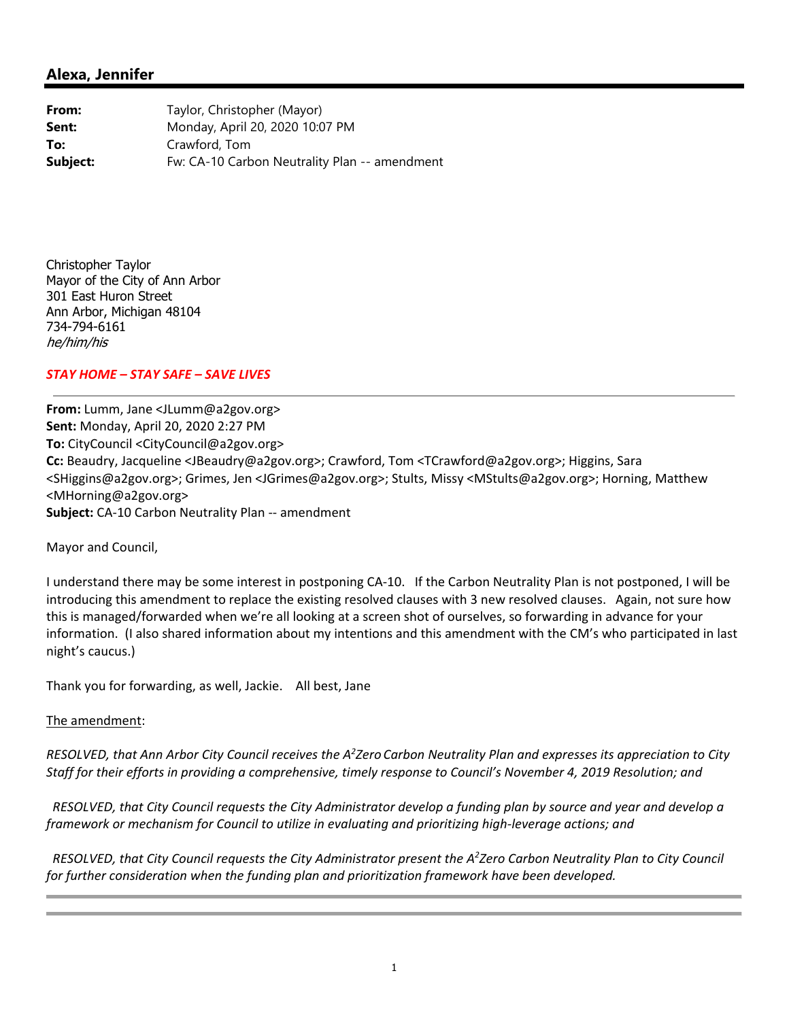**From:** Taylor, Christopher (Mayor) **Sent:** Monday, April 20, 2020 10:07 PM **To:** Crawford, Tom **Subject:** Fw: CA-10 Carbon Neutrality Plan -- amendment

Christopher Taylor Mayor of the City of Ann Arbor 301 East Huron Street Ann Arbor, Michigan 48104 734-794-6161 he/him/his

#### *STAY HOME – STAY SAFE – SAVE LIVES*

**From:** Lumm, Jane <JLumm@a2gov.org> **Sent:** Monday, April 20, 2020 2:27 PM **To:** CityCouncil <CityCouncil@a2gov.org> **Cc:** Beaudry, Jacqueline <JBeaudry@a2gov.org>; Crawford, Tom <TCrawford@a2gov.org>; Higgins, Sara <SHiggins@a2gov.org>; Grimes, Jen <JGrimes@a2gov.org>; Stults, Missy <MStults@a2gov.org>; Horning, Matthew <MHorning@a2gov.org> **Subject:** CA‐10 Carbon Neutrality Plan ‐‐ amendment

Mayor and Council,

I understand there may be some interest in postponing CA‐10. If the Carbon Neutrality Plan is not postponed, I will be introducing this amendment to replace the existing resolved clauses with 3 new resolved clauses. Again, not sure how this is managed/forwarded when we're all looking at a screen shot of ourselves, so forwarding in advance for your information. (I also shared information about my intentions and this amendment with the CM's who participated in last night's caucus.)

Thank you for forwarding, as well, Jackie. All best, Jane

#### The amendment:

RESOLVED, that Ann Arbor City Council receives the A<sup>2</sup>Zero Carbon Neutrality Plan and expresses its appreciation to City Staff for their efforts in providing a comprehensive, timely response to Council's November 4, 2019 Resolution; and

RESOLVED, that City Council requests the City Administrator develop a funding plan by source and year and develop a *framework or mechanism for Council to utilize in evaluating and prioritizing high‐leverage actions; and*

RESOLVED, that City Council requests the City Administrator present the A<sup>2</sup>Zero Carbon Neutrality Plan to City Council *for further consideration when the funding plan and prioritization framework have been developed.*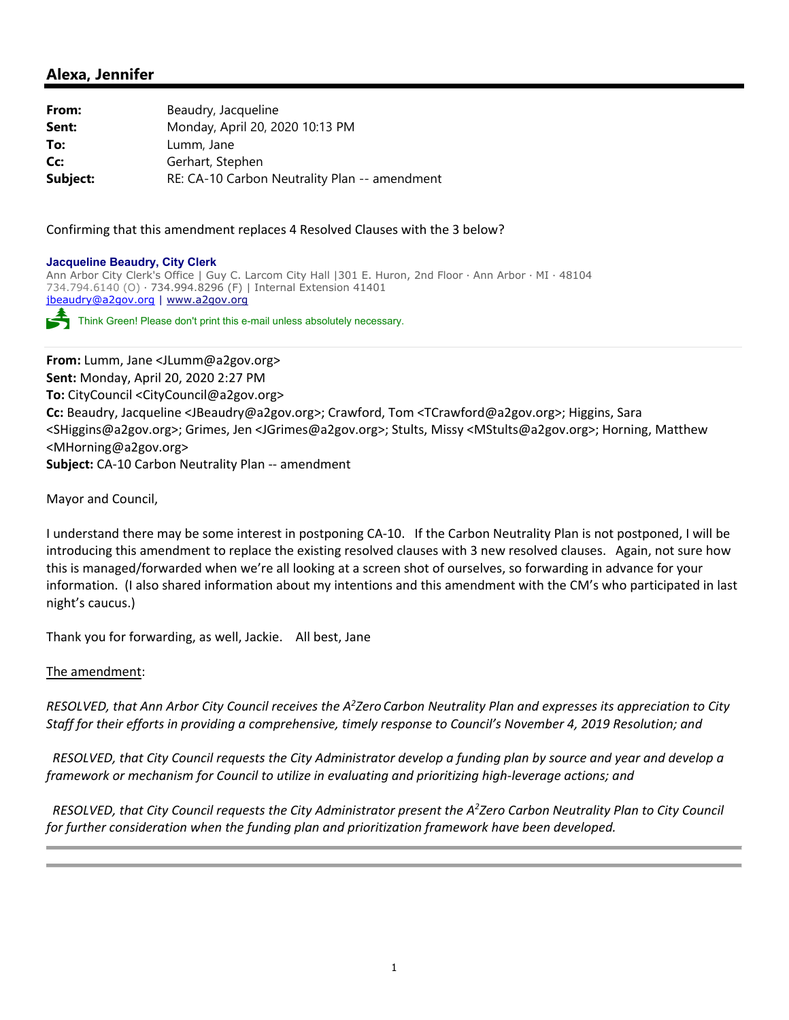| From:    | Beaudry, Jacqueline                           |
|----------|-----------------------------------------------|
| Sent:    | Monday, April 20, 2020 10:13 PM               |
| To:      | Lumm, Jane                                    |
| Cc:      | Gerhart, Stephen                              |
| Subject: | RE: CA-10 Carbon Neutrality Plan -- amendment |

Confirming that this amendment replaces 4 Resolved Clauses with the 3 below?

#### **Jacqueline Beaudry, City Clerk**

Ann Arbor City Clerk's Office | Guy C. Larcom City Hall |301 E. Huron, 2nd Floor ∙ Ann Arbor ∙ MI ∙ 48104 734.794.6140 (O) ∙ 734.994.8296 (F) | Internal Extension 41401 jbeaudry@a2gov.org | www.a2gov.org

Think Green! Please don't print this e-mail unless absolutely necessary.

**From:** Lumm, Jane <JLumm@a2gov.org> **Sent:** Monday, April 20, 2020 2:27 PM **To:** CityCouncil <CityCouncil@a2gov.org> **Cc:** Beaudry, Jacqueline <JBeaudry@a2gov.org>; Crawford, Tom <TCrawford@a2gov.org>; Higgins, Sara <SHiggins@a2gov.org>; Grimes, Jen <JGrimes@a2gov.org>; Stults, Missy <MStults@a2gov.org>; Horning, Matthew <MHorning@a2gov.org> **Subject:** CA‐10 Carbon Neutrality Plan ‐‐ amendment

Mayor and Council,

I understand there may be some interest in postponing CA‐10. If the Carbon Neutrality Plan is not postponed, I will be introducing this amendment to replace the existing resolved clauses with 3 new resolved clauses. Again, not sure how this is managed/forwarded when we're all looking at a screen shot of ourselves, so forwarding in advance for your information. (I also shared information about my intentions and this amendment with the CM's who participated in last night's caucus.)

Thank you for forwarding, as well, Jackie. All best, Jane

#### The amendment:

RESOLVED, that Ann Arbor City Council receives the A<sup>2</sup>Zero Carbon Neutrality Plan and expresses its appreciation to City Staff for their efforts in providing a comprehensive, timely response to Council's November 4, 2019 Resolution; and

RESOLVED, that City Council requests the City Administrator develop a funding plan by source and year and develop a *framework or mechanism for Council to utilize in evaluating and prioritizing high‐leverage actions; and*

RESOLVED, that City Council requests the City Administrator present the A<sup>2</sup>Zero Carbon Neutrality Plan to City Council *for further consideration when the funding plan and prioritization framework have been developed.*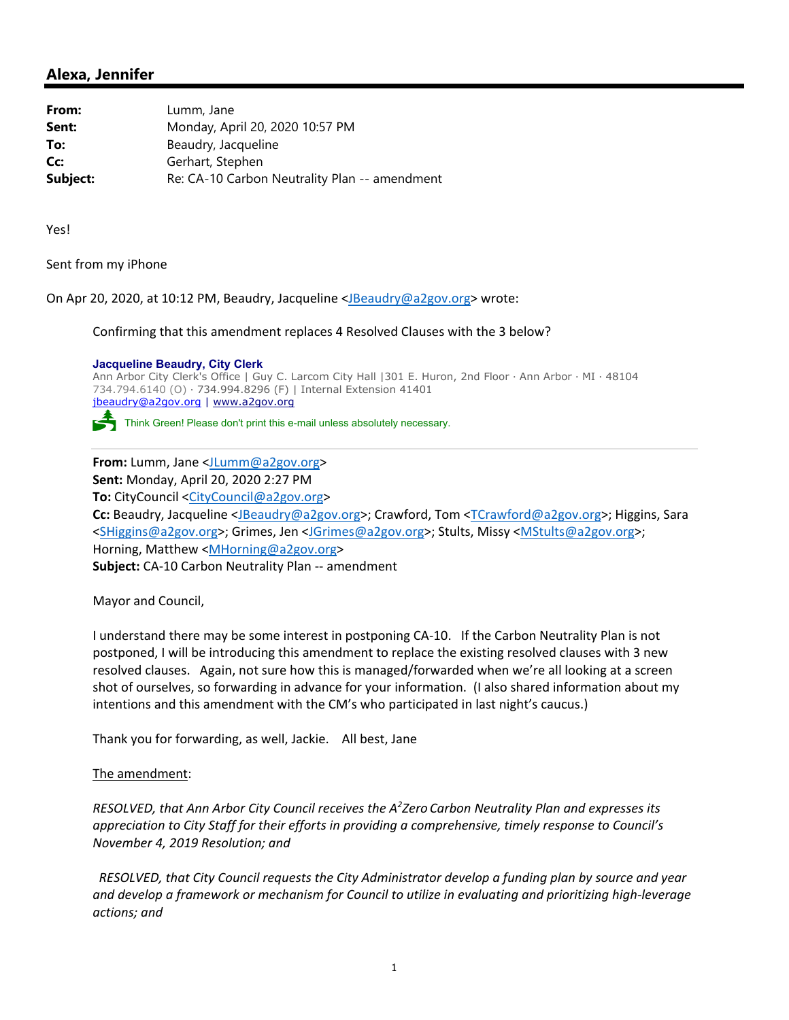| From:    | Lumm, Jane                                    |
|----------|-----------------------------------------------|
| Sent:    | Monday, April 20, 2020 10:57 PM               |
| To:      | Beaudry, Jacqueline                           |
| Cc:      | Gerhart, Stephen                              |
| Subject: | Re: CA-10 Carbon Neutrality Plan -- amendment |

Yes!

Sent from my iPhone

On Apr 20, 2020, at 10:12 PM, Beaudry, Jacqueline <JBeaudry@a2gov.org> wrote:

Confirming that this amendment replaces 4 Resolved Clauses with the 3 below?

**Jacqueline Beaudry, City Clerk**

Ann Arbor City Clerk's Office | Guy C. Larcom City Hall |301 E. Huron, 2nd Floor ∙ Ann Arbor ∙ MI ∙ 48104 734.794.6140 (O) ∙ 734.994.8296 (F) | Internal Extension 41401 jbeaudry@a2gov.org | www.a2gov.org

Think Green! Please don't print this e-mail unless absolutely necessary.

**From:** Lumm, Jane <JLumm@a2gov.org> **Sent:** Monday, April 20, 2020 2:27 PM **To:** CityCouncil <CityCouncil@a2gov.org> **Cc:** Beaudry, Jacqueline <JBeaudry@a2gov.org>; Crawford, Tom <TCrawford@a2gov.org>; Higgins, Sara <SHiggins@a2gov.org>; Grimes, Jen <JGrimes@a2gov.org>; Stults, Missy <MStults@a2gov.org>; Horning, Matthew <MHorning@a2gov.org> **Subject:** CA‐10 Carbon Neutrality Plan ‐‐ amendment

Mayor and Council,

I understand there may be some interest in postponing CA‐10. If the Carbon Neutrality Plan is not postponed, I will be introducing this amendment to replace the existing resolved clauses with 3 new resolved clauses. Again, not sure how this is managed/forwarded when we're all looking at a screen shot of ourselves, so forwarding in advance for your information. (I also shared information about my intentions and this amendment with the CM's who participated in last night's caucus.)

Thank you for forwarding, as well, Jackie. All best, Jane

The amendment:

*RESOLVED, that Ann Arbor City Council receives the A2 Zero Carbon Neutrality Plan and expresses its appreciation to City Staff for their efforts in providing a comprehensive, timely response to Council's November 4, 2019 Resolution; and*

 *RESOLVED, that City Council requests the City Administrator develop a funding plan by source and year and develop a framework or mechanism for Council to utilize in evaluating and prioritizing high‐leverage actions; and*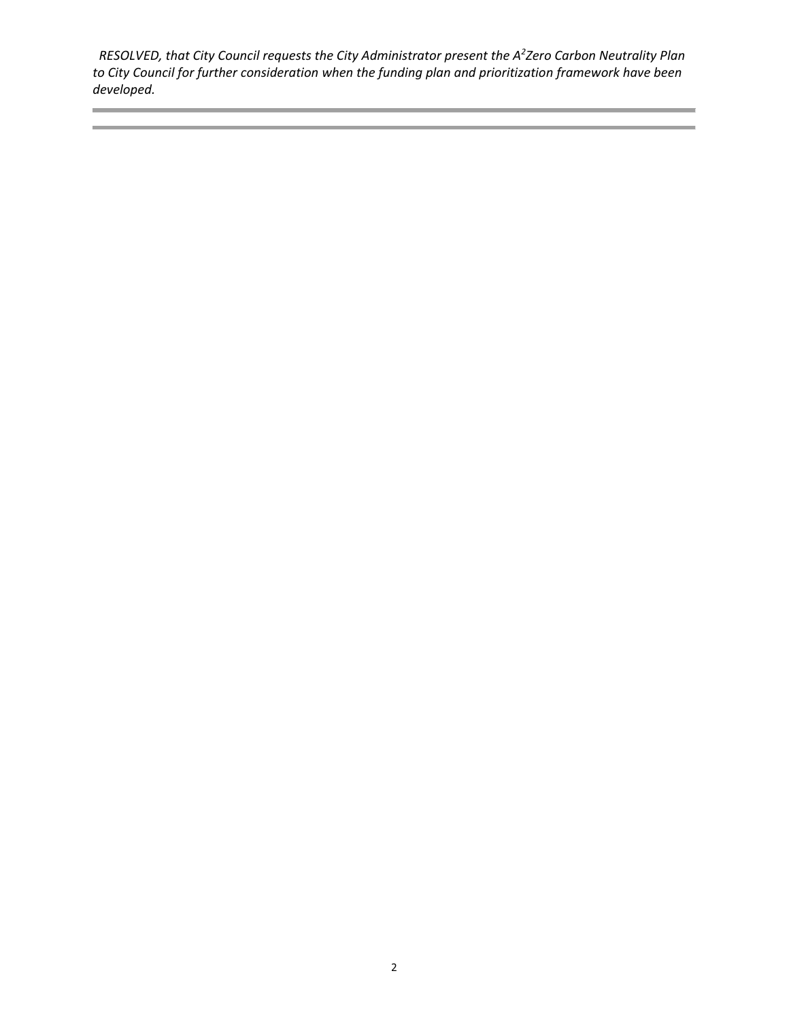*RESOLVED, that City Council requests the City Administrator present the A2 Zero Carbon Neutrality Plan to City Council for further consideration when the funding plan and prioritization framework have been developed.*

**Contract Contract Contract Contract**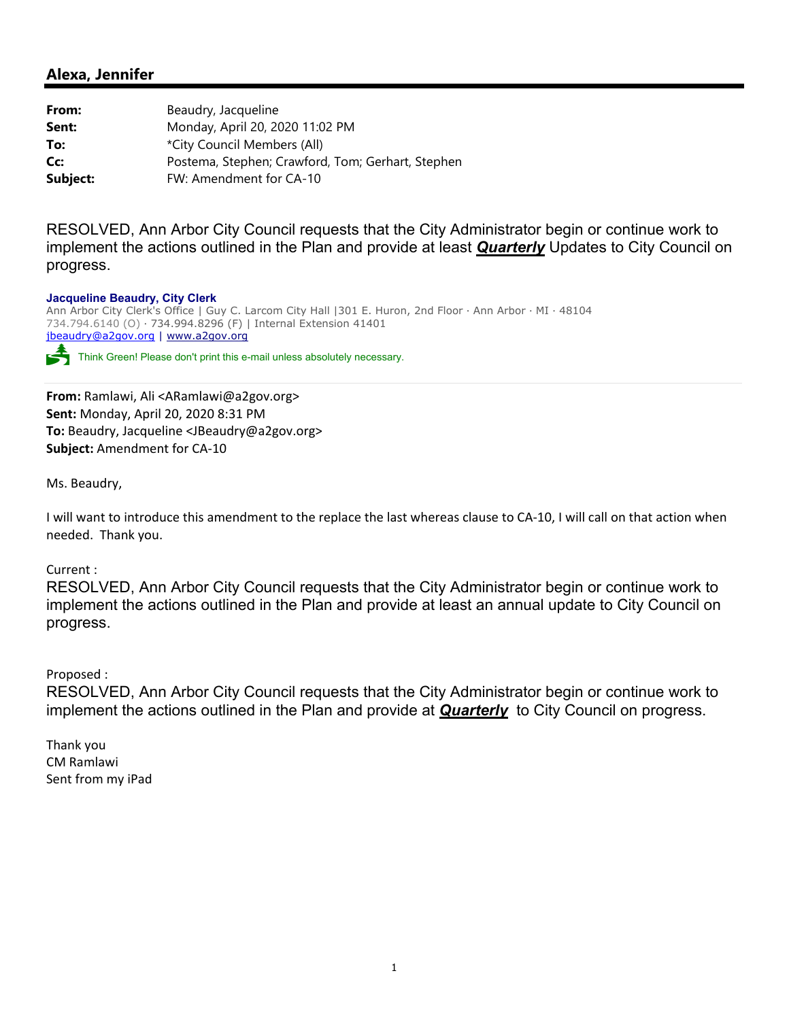| From:    | Beaudry, Jacqueline                               |
|----------|---------------------------------------------------|
| Sent:    | Monday, April 20, 2020 11:02 PM                   |
| To:      | *City Council Members (All)                       |
| Cc:      | Postema, Stephen; Crawford, Tom; Gerhart, Stephen |
| Subject: | FW: Amendment for CA-10                           |

RESOLVED, Ann Arbor City Council requests that the City Administrator begin or continue work to implement the actions outlined in the Plan and provide at least *Quarterly* Updates to City Council on progress.

#### **Jacqueline Beaudry, City Clerk**

Ann Arbor City Clerk's Office | Guy C. Larcom City Hall |301 E. Huron, 2nd Floor ∙ Ann Arbor ∙ MI ∙ 48104 734.794.6140 (O) ∙ 734.994.8296 (F) | Internal Extension 41401 jbeaudry@a2gov.org | www.a2gov.org Think Green! Please don't print this e-mail unless absolutely necessary.

**From:** Ramlawi, Ali <ARamlawi@a2gov.org> **Sent:** Monday, April 20, 2020 8:31 PM **To:** Beaudry, Jacqueline <JBeaudry@a2gov.org> **Subject:** Amendment for CA‐10

Ms. Beaudry,

I will want to introduce this amendment to the replace the last whereas clause to CA‐10, I will call on that action when needed. Thank you.

#### Current :

RESOLVED, Ann Arbor City Council requests that the City Administrator begin or continue work to implement the actions outlined in the Plan and provide at least an annual update to City Council on progress.

Proposed :

RESOLVED, Ann Arbor City Council requests that the City Administrator begin or continue work to implement the actions outlined in the Plan and provide at *Quarterly* to City Council on progress.

Thank you CM Ramlawi Sent from my iPad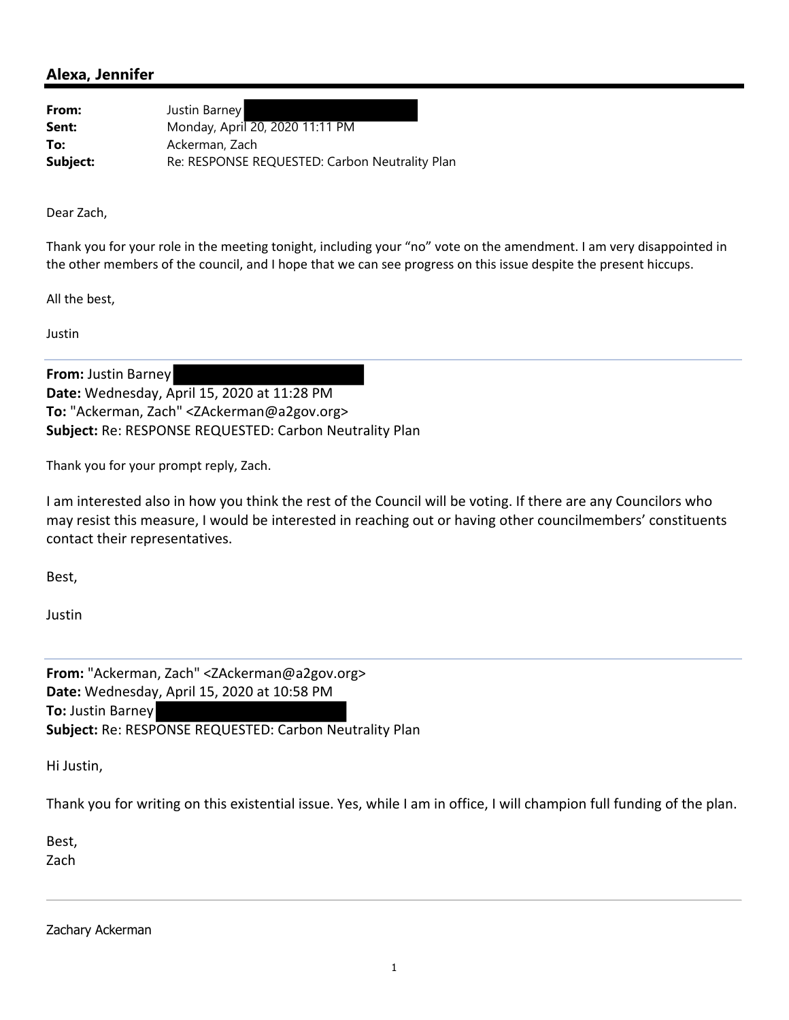| From:    | Justin Barney                                  |
|----------|------------------------------------------------|
| Sent:    | Monday, April 20, 2020 11:11 PM                |
| To:      | Ackerman, Zach                                 |
| Subject: | Re: RESPONSE REQUESTED: Carbon Neutrality Plan |

Dear Zach,

Thank you for your role in the meeting tonight, including your "no" vote on the amendment. I am very disappointed in the other members of the council, and I hope that we can see progress on this issue despite the present hiccups.

All the best,

Justin

**From:** Justin Barney **Date:** Wednesday, April 15, 2020 at 11:28 PM **To:** "Ackerman, Zach" <ZAckerman@a2gov.org> **Subject:** Re: RESPONSE REQUESTED: Carbon Neutrality Plan

Thank you for your prompt reply, Zach.

I am interested also in how you think the rest of the Council will be voting. If there are any Councilors who may resist this measure, I would be interested in reaching out or having other councilmembers' constituents contact their representatives.

Best,

Justin

**From:** "Ackerman, Zach" <ZAckerman@a2gov.org> **Date:** Wednesday, April 15, 2020 at 10:58 PM **To:** Justin Barney **Subject:** Re: RESPONSE REQUESTED: Carbon Neutrality Plan

Hi Justin,

Thank you for writing on this existential issue. Yes, while I am in office, I will champion full funding of the plan.

Best,

Zach

Zachary Ackerman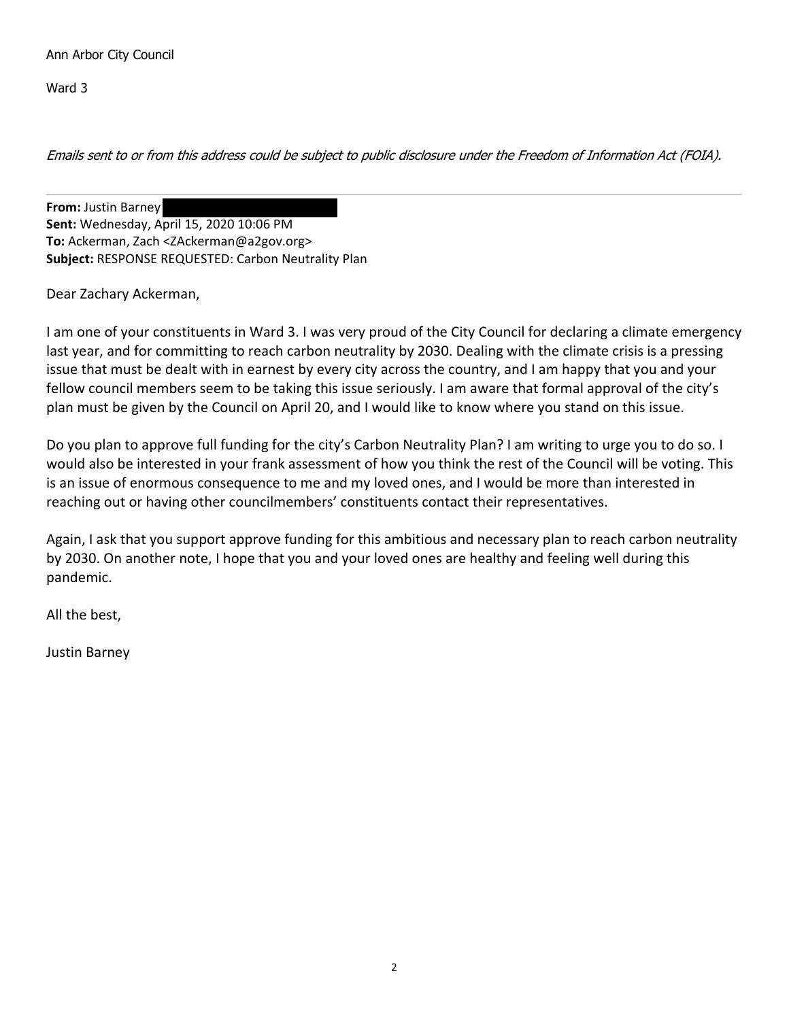Ann Arbor City Council

Ward 3

Emails sent to or from this address could be subject to public disclosure under the Freedom of Information Act (FOIA).

**From:** Justin Barney **Sent:** Wednesday, April 15, 2020 10:06 PM **To:** Ackerman, Zach <ZAckerman@a2gov.org> **Subject:** RESPONSE REQUESTED: Carbon Neutrality Plan

Dear Zachary Ackerman,

I am one of your constituents in Ward 3. I was very proud of the City Council for declaring a climate emergency last year, and for committing to reach carbon neutrality by 2030. Dealing with the climate crisis is a pressing issue that must be dealt with in earnest by every city across the country, and I am happy that you and your fellow council members seem to be taking this issue seriously. I am aware that formal approval of the city's plan must be given by the Council on April 20, and I would like to know where you stand on this issue.

Do you plan to approve full funding for the city's Carbon Neutrality Plan? I am writing to urge you to do so. I would also be interested in your frank assessment of how you think the rest of the Council will be voting. This is an issue of enormous consequence to me and my loved ones, and I would be more than interested in reaching out or having other councilmembers' constituents contact their representatives.

Again, I ask that you support approve funding for this ambitious and necessary plan to reach carbon neutrality by 2030. On another note, I hope that you and your loved ones are healthy and feeling well during this pandemic.

All the best,

Justin Barney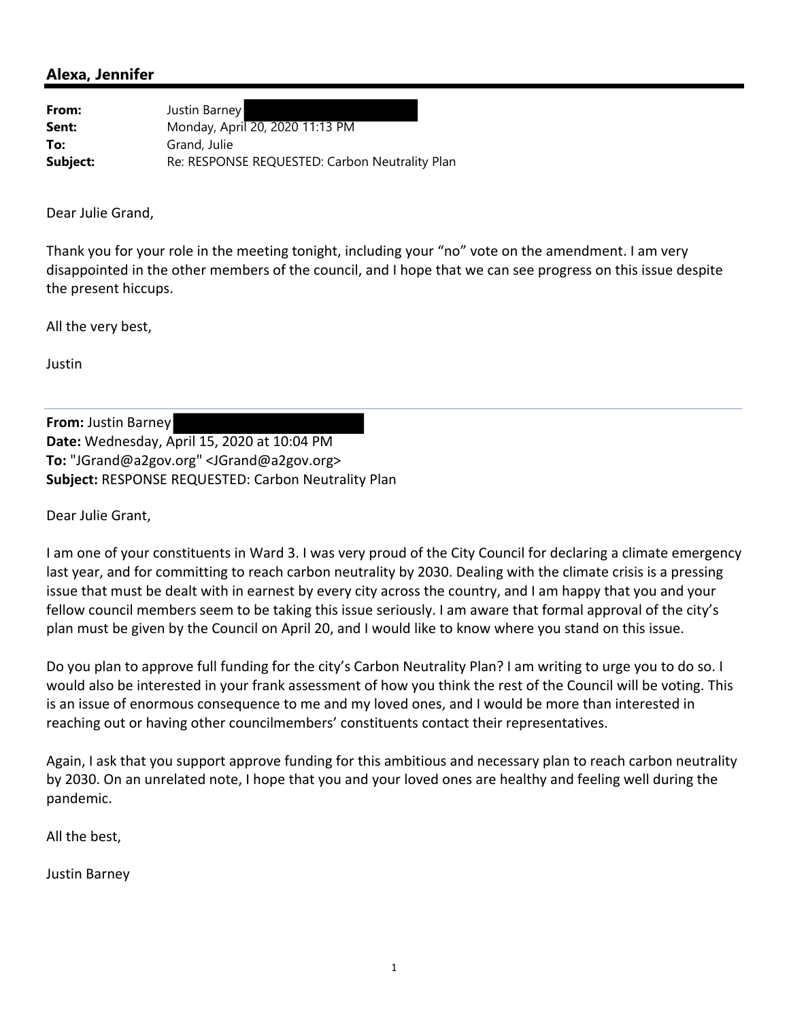| From:    | Justin Barney                                  |
|----------|------------------------------------------------|
| Sent:    | Monday, April 20, 2020 11:13 PM                |
| To:      | Grand, Julie                                   |
| Subject: | Re: RESPONSE REQUESTED: Carbon Neutrality Plan |

Dear Julie Grand,

Thank you for your role in the meeting tonight, including your "no" vote on the amendment. I am very disappointed in the other members of the council, and I hope that we can see progress on this issue despite the present hiccups.

All the very best,

Justin

**From:** Justin Barney **Date:** Wednesday, April 15, 2020 at 10:04 PM **To:** "JGrand@a2gov.org" <JGrand@a2gov.org> **Subject:** RESPONSE REQUESTED: Carbon Neutrality Plan

Dear Julie Grant,

I am one of your constituents in Ward 3. I was very proud of the City Council for declaring a climate emergency last year, and for committing to reach carbon neutrality by 2030. Dealing with the climate crisis is a pressing issue that must be dealt with in earnest by every city across the country, and I am happy that you and your fellow council members seem to be taking this issue seriously. I am aware that formal approval of the city's plan must be given by the Council on April 20, and I would like to know where you stand on this issue.

Do you plan to approve full funding for the city's Carbon Neutrality Plan? I am writing to urge you to do so. I would also be interested in your frank assessment of how you think the rest of the Council will be voting. This is an issue of enormous consequence to me and my loved ones, and I would be more than interested in reaching out or having other councilmembers' constituents contact their representatives.

Again, I ask that you support approve funding for this ambitious and necessary plan to reach carbon neutrality by 2030. On an unrelated note, I hope that you and your loved ones are healthy and feeling well during the pandemic.

All the best,

Justin Barney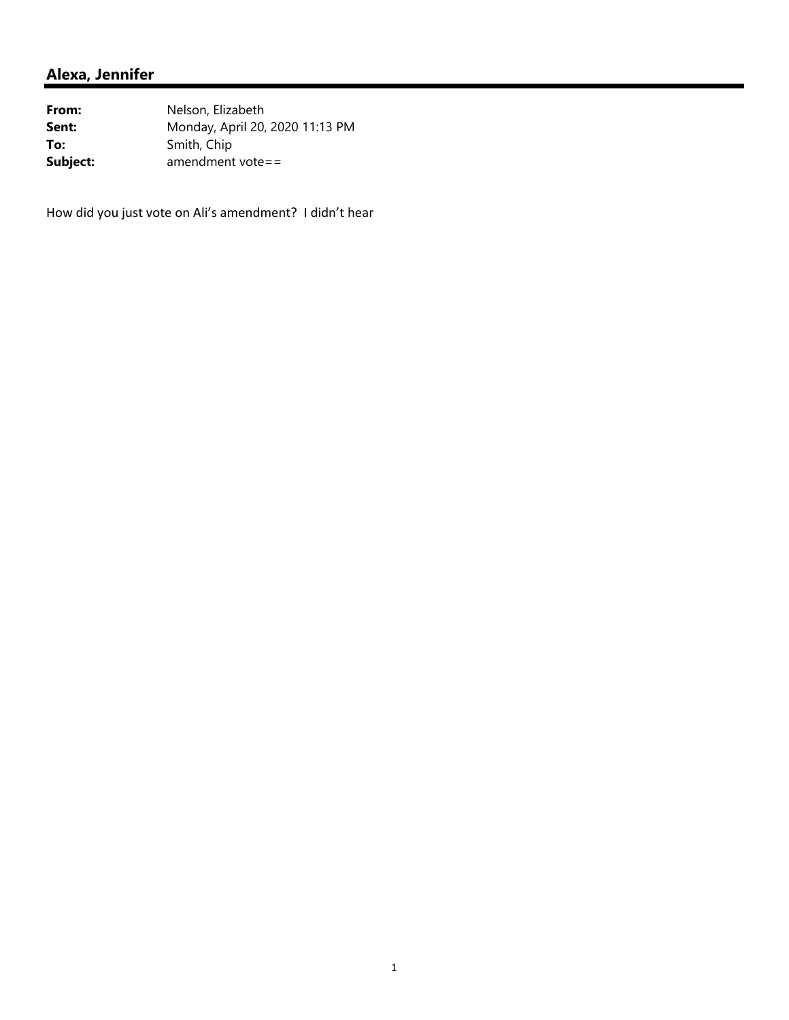| From:    | Nelson, Elizabeth               |
|----------|---------------------------------|
| Sent:    | Monday, April 20, 2020 11:13 PM |
| To:      | Smith, Chip                     |
| Subject: | amendment vote==                |

How did you just vote on Ali's amendment? I didn't hear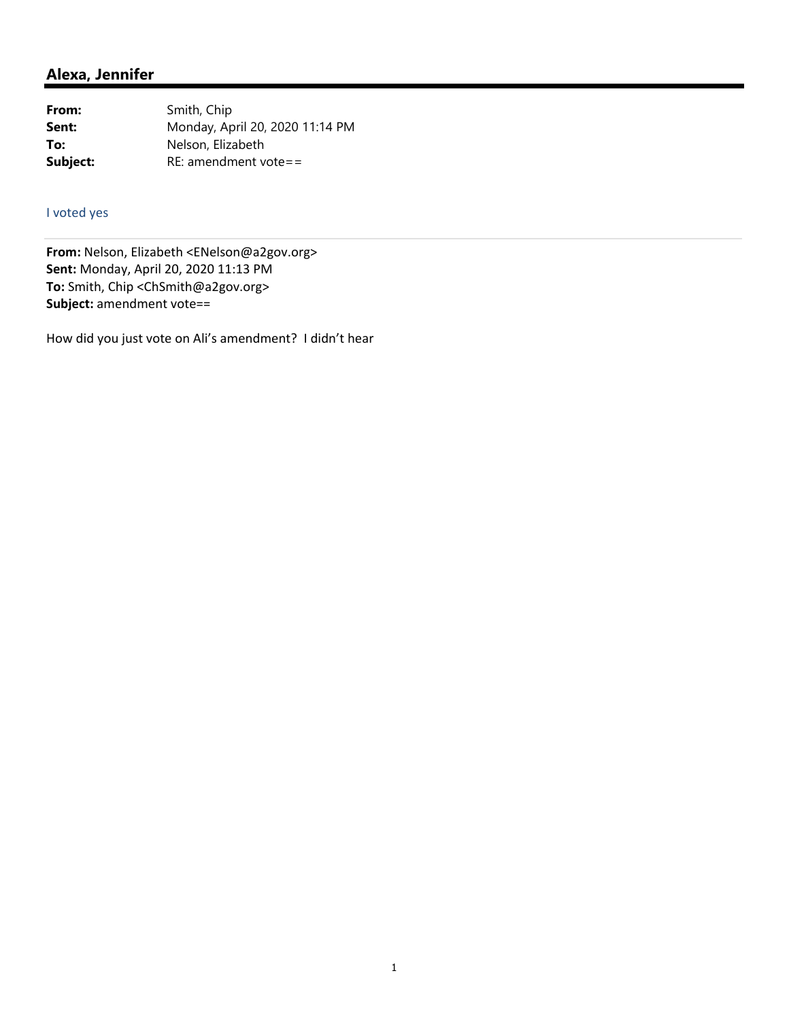| From:    | Smith, Chip                     |
|----------|---------------------------------|
| Sent:    | Monday, April 20, 2020 11:14 PM |
| To:      | Nelson, Elizabeth               |
| Subject: | $RE:$ amendment vote==          |

### I voted yes

**From:** Nelson, Elizabeth <ENelson@a2gov.org> **Sent:** Monday, April 20, 2020 11:13 PM **To:** Smith, Chip <ChSmith@a2gov.org> **Subject:** amendment vote==

How did you just vote on Ali's amendment? I didn't hear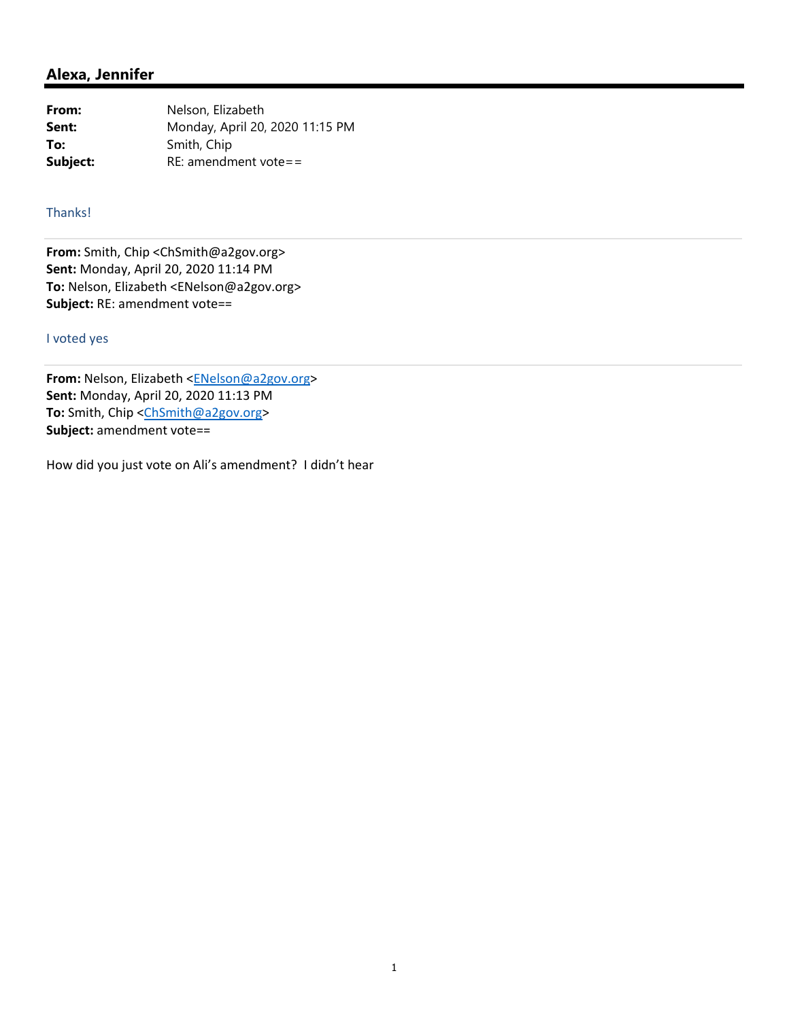| From:    | Nelson, Elizabeth               |
|----------|---------------------------------|
| Sent:    | Monday, April 20, 2020 11:15 PM |
| To:      | Smith, Chip                     |
| Subject: | $RE:$ amendment vote==          |

### Thanks!

**From:** Smith, Chip <ChSmith@a2gov.org> **Sent:** Monday, April 20, 2020 11:14 PM **To:** Nelson, Elizabeth <ENelson@a2gov.org> **Subject:** RE: amendment vote==

#### I voted yes

From: Nelson, Elizabeth <**ENelson@a2gov.org> Sent:** Monday, April 20, 2020 11:13 PM **To:** Smith, Chip <ChSmith@a2gov.org> **Subject:** amendment vote==

How did you just vote on Ali's amendment? I didn't hear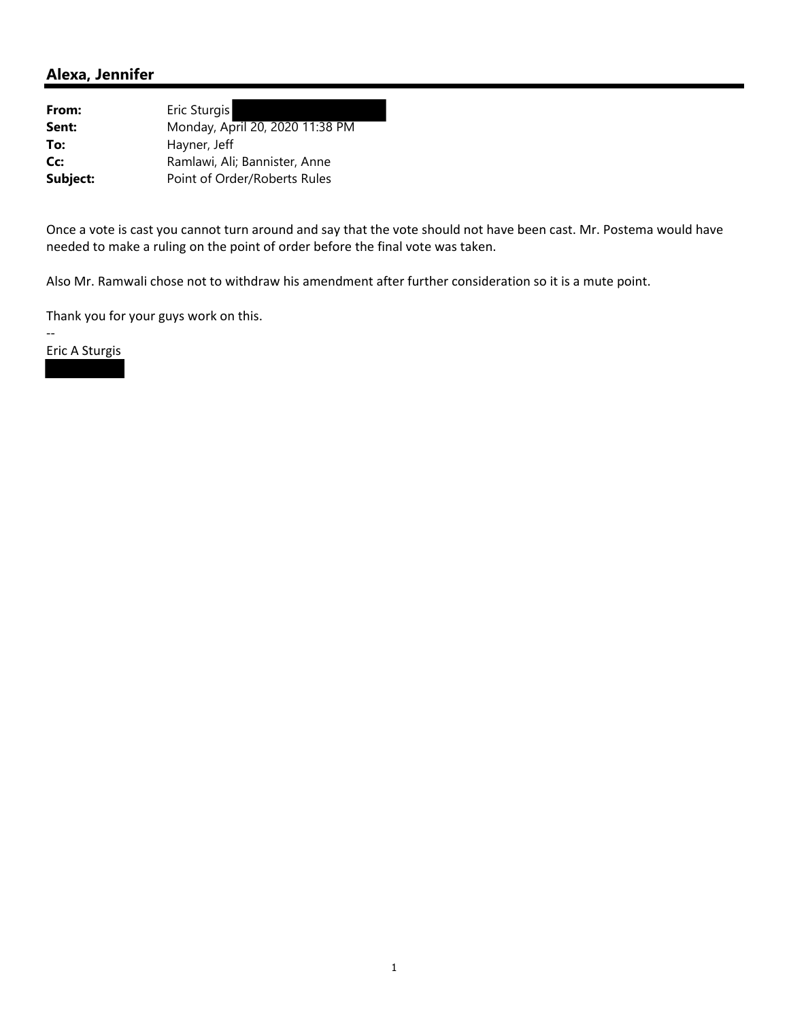| From:    | Eric Sturgis                    |
|----------|---------------------------------|
| Sent:    | Monday, April 20, 2020 11:38 PM |
| To:      | Hayner, Jeff                    |
| Cc:      | Ramlawi, Ali; Bannister, Anne   |
| Subject: | Point of Order/Roberts Rules    |

Once a vote is cast you cannot turn around and say that the vote should not have been cast. Mr. Postema would have needed to make a ruling on the point of order before the final vote was taken.

Also Mr. Ramwali chose not to withdraw his amendment after further consideration so it is a mute point.

Thank you for your guys work on this.

Eric A Sturgis

‐‐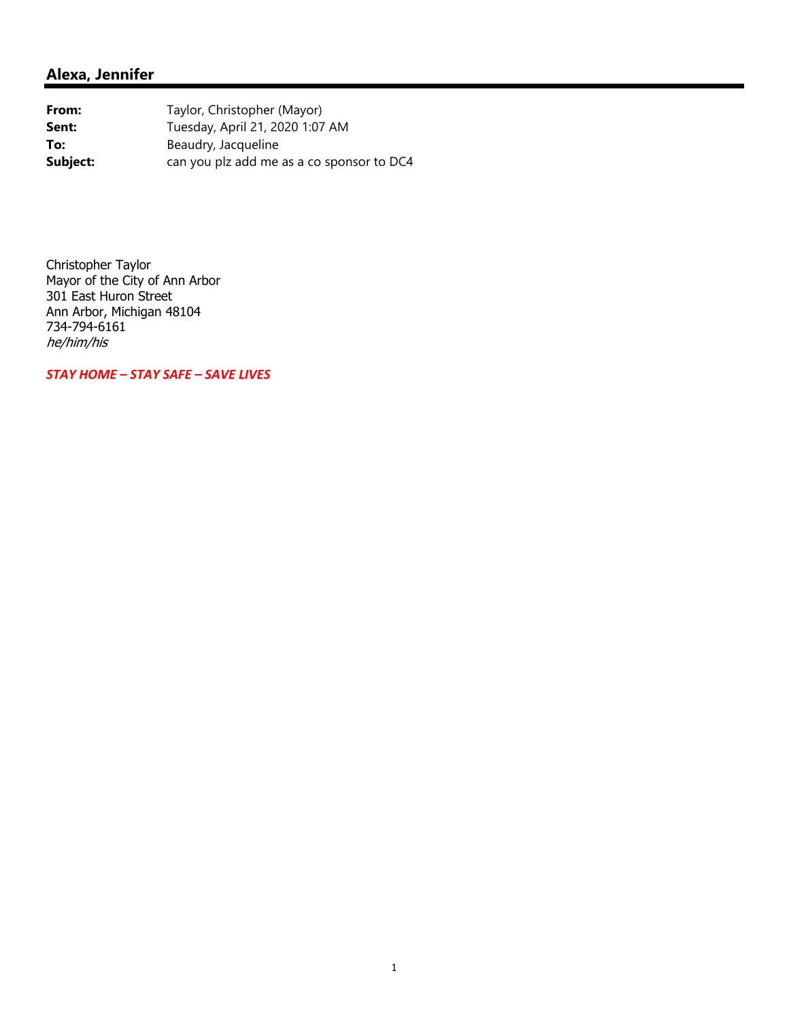From: Taylor, Christopher (Mayor) **Sent:** Tuesday, April 21, 2020 1:07 AM **To:** Beaudry, Jacqueline **Subject:** can you plz add me as a co sponsor to DC4

Christopher Taylor Mayor of the City of Ann Arbor 301 East Huron Street Ann Arbor, Michigan 48104 734-794-6161 he/him/his

*STAY HOME – STAY SAFE – SAVE LIVES*